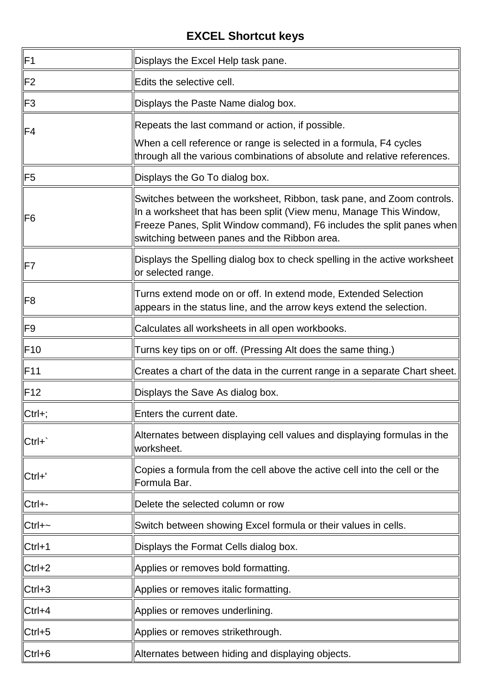| IF <sub>1</sub> | Displays the Excel Help task pane.                                                                                                                                                                                                                                   |
|-----------------|----------------------------------------------------------------------------------------------------------------------------------------------------------------------------------------------------------------------------------------------------------------------|
| F <sub>2</sub>  | Edits the selective cell.                                                                                                                                                                                                                                            |
| IF <sub>3</sub> | Displays the Paste Name dialog box.                                                                                                                                                                                                                                  |
| IF4             | Repeats the last command or action, if possible.<br>When a cell reference or range is selected in a formula, F4 cycles<br>through all the various combinations of absolute and relative references.                                                                  |
| IF5             | Displays the Go To dialog box.                                                                                                                                                                                                                                       |
| F <sub>6</sub>  | Switches between the worksheet, Ribbon, task pane, and Zoom controls.<br>In a worksheet that has been split (View menu, Manage This Window,<br>Freeze Panes, Split Window command), F6 includes the split panes when<br>switching between panes and the Ribbon area. |
| IF7             | Displays the Spelling dialog box to check spelling in the active worksheet<br>or selected range.                                                                                                                                                                     |
| F <sub>8</sub>  | Turns extend mode on or off. In extend mode, Extended Selection<br>appears in the status line, and the arrow keys extend the selection.                                                                                                                              |
| IF <sub>9</sub> | Calculates all worksheets in all open workbooks.                                                                                                                                                                                                                     |
| IF10            | Turns key tips on or off. (Pressing Alt does the same thing.)                                                                                                                                                                                                        |
| IF11            | Creates a chart of the data in the current range in a separate Chart sheet.                                                                                                                                                                                          |
| IF12            | Displays the Save As dialog box.                                                                                                                                                                                                                                     |
| $ $ Ctrl+;      | Enters the current date.                                                                                                                                                                                                                                             |
| Ctrl+           | Alternates between displaying cell values and displaying formulas in the<br>worksheet.                                                                                                                                                                               |
| $Ctrl + '$      | Copies a formula from the cell above the active cell into the cell or the<br>Formula Bar.                                                                                                                                                                            |
| Ctrl+-          | Delete the selected column or row                                                                                                                                                                                                                                    |
| $Ctrl + \sim$   | Switch between showing Excel formula or their values in cells.                                                                                                                                                                                                       |
| ∥Ctrl+1         | Displays the Format Cells dialog box.                                                                                                                                                                                                                                |
| $Ctrl + 2$      | Applies or removes bold formatting.                                                                                                                                                                                                                                  |
| $Ctrl + 3$      | Applies or removes italic formatting.                                                                                                                                                                                                                                |
| $ $ Ctrl+4      | Applies or removes underlining.                                                                                                                                                                                                                                      |
| Ctrl+5          | Applies or removes strikethrough.                                                                                                                                                                                                                                    |
| $ $ Ctrl+6      | Alternates between hiding and displaying objects.                                                                                                                                                                                                                    |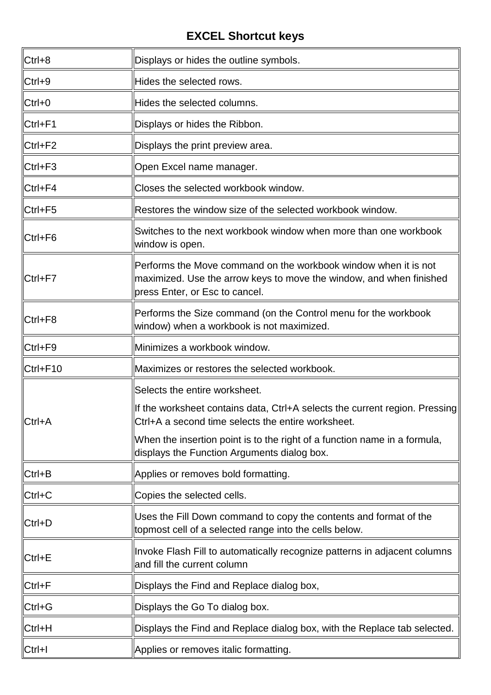| Ctrl+8   | Displays or hides the outline symbols.                                                                                                                                   |
|----------|--------------------------------------------------------------------------------------------------------------------------------------------------------------------------|
| Ctrl+9   | Hides the selected rows.                                                                                                                                                 |
| Ctrl+0   | Hides the selected columns.                                                                                                                                              |
| Ctrl+F1  | Displays or hides the Ribbon.                                                                                                                                            |
| Ctrl+F2  | Displays the print preview area.                                                                                                                                         |
| Ctrl+F3  | Open Excel name manager.                                                                                                                                                 |
| Ctrl+F4  | Closes the selected workbook window.                                                                                                                                     |
| Ctrl+F5  | Restores the window size of the selected workbook window.                                                                                                                |
| Ctrl+F6  | Switches to the next workbook window when more than one workbook<br>window is open.                                                                                      |
| Ctrl+F7  | Performs the Move command on the workbook window when it is not<br>maximized. Use the arrow keys to move the window, and when finished<br>press Enter, or Esc to cancel. |
| Ctrl+F8  | Performs the Size command (on the Control menu for the workbook<br>window) when a workbook is not maximized.                                                             |
| Ctrl+F9  | Minimizes a workbook window.                                                                                                                                             |
| Ctrl+F10 | Maximizes or restores the selected workbook.                                                                                                                             |
|          | Selects the entire worksheet.                                                                                                                                            |
| Ctrl+A   | If the worksheet contains data, Ctrl+A selects the current region. Pressing<br>Ctrl+A a second time selects the entire worksheet.                                        |
|          | When the insertion point is to the right of a function name in a formula,<br>displays the Function Arguments dialog box.                                                 |
| Ctrl+B   | Applies or removes bold formatting.                                                                                                                                      |
| $Ctrl+C$ | Copies the selected cells.                                                                                                                                               |
| Ctrl+D   | Uses the Fill Down command to copy the contents and format of the<br>topmost cell of a selected range into the cells below.                                              |
| Ctrl+E   | Invoke Flash Fill to automatically recognize patterns in adjacent columns<br>and fill the current column                                                                 |
| Ctrl+F   | Displays the Find and Replace dialog box,                                                                                                                                |
| Ctrl+G   | Displays the Go To dialog box.                                                                                                                                           |
| Ctrl+H   | Displays the Find and Replace dialog box, with the Replace tab selected.                                                                                                 |
| Ctrl+I   | Applies or removes italic formatting.                                                                                                                                    |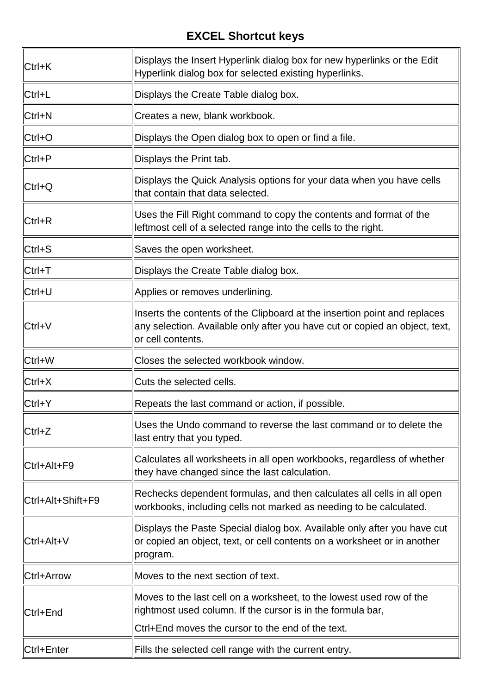| Ctrl+K            | Displays the Insert Hyperlink dialog box for new hyperlinks or the Edit<br>Hyperlink dialog box for selected existing hyperlinks.                                                        |
|-------------------|------------------------------------------------------------------------------------------------------------------------------------------------------------------------------------------|
| ∥Ctrl+L           | Displays the Create Table dialog box.                                                                                                                                                    |
| Ctrl+N            | Creates a new, blank workbook.                                                                                                                                                           |
| $\mathsf{Ctrl+O}$ | Displays the Open dialog box to open or find a file.                                                                                                                                     |
| Ctrl+P            | Displays the Print tab.                                                                                                                                                                  |
| ∥Ctrl+Q           | Displays the Quick Analysis options for your data when you have cells<br>that contain that data selected.                                                                                |
| ∥Ctrl+R           | Uses the Fill Right command to copy the contents and format of the<br>leftmost cell of a selected range into the cells to the right.                                                     |
| Ctrl+S            | Saves the open worksheet.                                                                                                                                                                |
| Ctrl+T            | Displays the Create Table dialog box.                                                                                                                                                    |
| Ctrl+U            | Applies or removes underlining.                                                                                                                                                          |
| Ctrl+V            | Inserts the contents of the Clipboard at the insertion point and replaces<br>any selection. Available only after you have cut or copied an object, text,<br>or cell contents.            |
| Ctrl+W            | Closes the selected workbook window.                                                                                                                                                     |
| Ctrl+X            | Cuts the selected cells.                                                                                                                                                                 |
| $Ctrl+Y$          | Repeats the last command or action, if possible.                                                                                                                                         |
| Ctrl+Z            | Uses the Undo command to reverse the last command or to delete the<br>last entry that you typed.                                                                                         |
| Ctrl+Alt+F9       | Calculates all worksheets in all open workbooks, regardless of whether<br>they have changed since the last calculation.                                                                  |
| Ctrl+Alt+Shift+F9 | Rechecks dependent formulas, and then calculates all cells in all open<br>workbooks, including cells not marked as needing to be calculated.                                             |
| Ctrl+Alt+V        | Displays the Paste Special dialog box. Available only after you have cut<br>or copied an object, text, or cell contents on a worksheet or in another<br>program.                         |
| Ctrl+Arrow        | Moves to the next section of text.                                                                                                                                                       |
| Ctrl+End          | Moves to the last cell on a worksheet, to the lowest used row of the<br>rightmost used column. If the cursor is in the formula bar,<br>Ctrl+End moves the cursor to the end of the text. |
| Ctrl+Enter        | Fills the selected cell range with the current entry.                                                                                                                                    |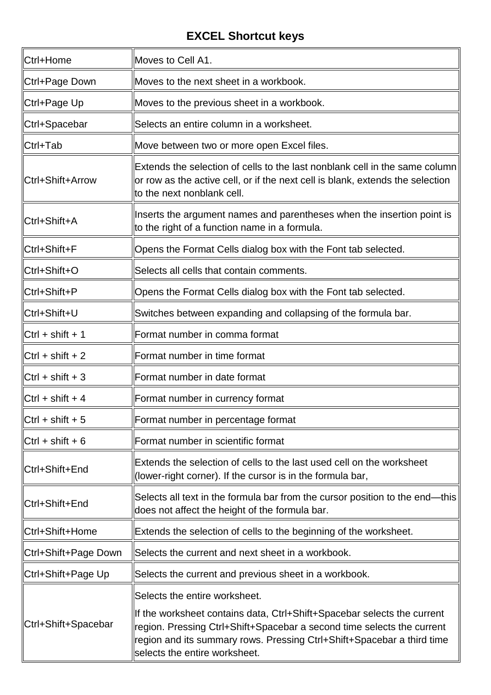| ∥Ctrl+Home               | Moves to Cell A1.                                                                                                                                                                                                                                            |
|--------------------------|--------------------------------------------------------------------------------------------------------------------------------------------------------------------------------------------------------------------------------------------------------------|
| Ctrl+Page Down           | Moves to the next sheet in a workbook.                                                                                                                                                                                                                       |
| Ctrl+Page Up             | Moves to the previous sheet in a workbook.                                                                                                                                                                                                                   |
| ∥Ctrl+Spacebar           | Selects an entire column in a worksheet.                                                                                                                                                                                                                     |
| Ctrl+Tab                 | Move between two or more open Excel files.                                                                                                                                                                                                                   |
| Ctrl+Shift+Arrow         | Extends the selection of cells to the last nonblank cell in the same column<br>or row as the active cell, or if the next cell is blank, extends the selection<br>to the next nonblank cell.                                                                  |
| Ctrl+Shift+A             | Inserts the argument names and parentheses when the insertion point is<br>to the right of a function name in a formula.                                                                                                                                      |
| ∥Ctrl+Shift+F            | Opens the Format Cells dialog box with the Font tab selected.                                                                                                                                                                                                |
| Ctrl+Shift+O             | Selects all cells that contain comments.                                                                                                                                                                                                                     |
| Ctrl+Shift+P             | Opens the Format Cells dialog box with the Font tab selected.                                                                                                                                                                                                |
| ∥Ctrl+Shift+U            | Switches between expanding and collapsing of the formula bar.                                                                                                                                                                                                |
| Ctrl + shift + 1         | Format number in comma format                                                                                                                                                                                                                                |
| $ Ctr $ + shift + 2      | Format number in time format                                                                                                                                                                                                                                 |
| $\ $ Ctrl + shift + 3    | Format number in date format                                                                                                                                                                                                                                 |
| $ C$ trl + shift + 4     | Format number in currency format                                                                                                                                                                                                                             |
| $\vert$ Ctrl + shift + 5 | Format number in percentage format                                                                                                                                                                                                                           |
| $ Ctr $ + shift + 6      | Format number in scientific format                                                                                                                                                                                                                           |
| Ctrl+Shift+End           | Extends the selection of cells to the last used cell on the worksheet<br>(lower-right corner). If the cursor is in the formula bar,                                                                                                                          |
| Ctrl+Shift+End           | Selects all text in the formula bar from the cursor position to the end—this<br>does not affect the height of the formula bar.                                                                                                                               |
| ∥Ctrl+Shift+Home         | Extends the selection of cells to the beginning of the worksheet.                                                                                                                                                                                            |
| Ctrl+Shift+Page Down     | Selects the current and next sheet in a workbook.                                                                                                                                                                                                            |
| Ctrl+Shift+Page Up       | Selects the current and previous sheet in a workbook.                                                                                                                                                                                                        |
|                          | Selects the entire worksheet.                                                                                                                                                                                                                                |
| Ctrl+Shift+Spacebar      | If the worksheet contains data, Ctrl+Shift+Spacebar selects the current<br>region. Pressing Ctrl+Shift+Spacebar a second time selects the current<br>region and its summary rows. Pressing Ctrl+Shift+Spacebar a third time<br>selects the entire worksheet. |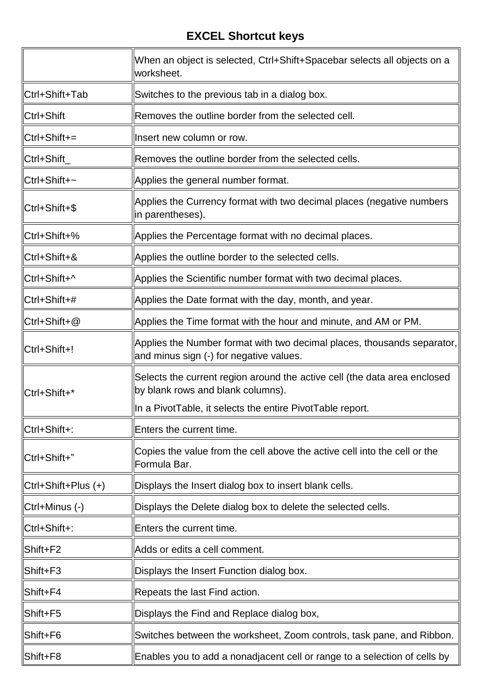|                     | When an object is selected, Ctrl+Shift+Spacebar selects all objects on a<br>worksheet.                             |
|---------------------|--------------------------------------------------------------------------------------------------------------------|
| ∥Ctrl+Shift+Tab     | Switches to the previous tab in a dialog box.                                                                      |
| Ctrl+Shift          | Removes the outline border from the selected cell.                                                                 |
| Ctrl+Shift+=        | Insert new column or row.                                                                                          |
| ∥Ctrl+Shift         | Removes the outline border from the selected cells.                                                                |
| ∥Ctrl+Shift+~       | Applies the general number format.                                                                                 |
| ∥Ctrl+Shift+\$      | Applies the Currency format with two decimal places (negative numbers<br>in parentheses).                          |
| Ctrl+Shift+%        | Applies the Percentage format with no decimal places.                                                              |
| llCtrl+Shift+&      | Applies the outline border to the selected cells.                                                                  |
| Ctrl+Shift+^        | Applies the Scientific number format with two decimal places.                                                      |
| ∥Ctrl+Shift+#       | Applies the Date format with the day, month, and year.                                                             |
| ∥Ctrl+Shift+@       | Applies the Time format with the hour and minute, and AM or PM.                                                    |
| Ctrl+Shift+!        | Applies the Number format with two decimal places, thousands separator,<br>and minus sign (-) for negative values. |
| Ctrl+Shift+*        | Selects the current region around the active cell (the data area enclosed<br>by blank rows and blank columns).     |
|                     | In a PivotTable, it selects the entire PivotTable report.                                                          |
| Ctrl+Shift+:        | Enters the current time.                                                                                           |
| ∥Ctrl+Shift+"       | Copies the value from the cell above the active cell into the cell or the<br>Formula Bar.                          |
| Ctrl+Shift+Plus (+) | Displays the Insert dialog box to insert blank cells.                                                              |
| Ctrl+Minus (-)      | Displays the Delete dialog box to delete the selected cells.                                                       |
| Ctrl+Shift+:        | Enters the current time.                                                                                           |
| Shift+F2            | Adds or edits a cell comment.                                                                                      |
| Shift+F3            | Displays the Insert Function dialog box.                                                                           |
| ∥Shift+F4           | Repeats the last Find action.                                                                                      |
| Shift+F5            | Displays the Find and Replace dialog box,                                                                          |
| Shift+F6            | Switches between the worksheet, Zoom controls, task pane, and Ribbon.                                              |
| ∥Shift+F8           | Enables you to add a nonadjacent cell or range to a selection of cells by                                          |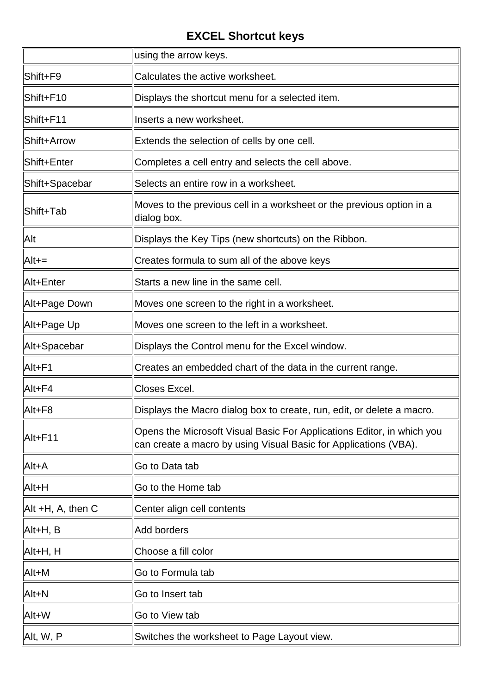|                               | using the arrow keys.                                                                                                                      |
|-------------------------------|--------------------------------------------------------------------------------------------------------------------------------------------|
| Shift+F9                      | Calculates the active worksheet.                                                                                                           |
| Shift+F10                     | Displays the shortcut menu for a selected item.                                                                                            |
| ∥Shift+F11                    | Inserts a new worksheet.                                                                                                                   |
| Shift+Arrow                   | Extends the selection of cells by one cell.                                                                                                |
| Shift+Enter                   | Completes a cell entry and selects the cell above.                                                                                         |
| ∥Shift+Spacebar               | Selects an entire row in a worksheet.                                                                                                      |
| Shift+Tab                     | Moves to the previous cell in a worksheet or the previous option in a<br>dialog box.                                                       |
| <b>Alt</b>                    | Displays the Key Tips (new shortcuts) on the Ribbon.                                                                                       |
| $A$ lt+=                      | Creates formula to sum all of the above keys                                                                                               |
| ∥Alt+Enter                    | Starts a new line in the same cell.                                                                                                        |
| Alt+Page Down                 | Moves one screen to the right in a worksheet.                                                                                              |
| ∥Alt+Page Up                  | Moves one screen to the left in a worksheet.                                                                                               |
| Alt+Spacebar                  | Displays the Control menu for the Excel window.                                                                                            |
| Alt+F1                        | Creates an embedded chart of the data in the current range.                                                                                |
| $\vert$ Alt+F4                | Closes Excel.                                                                                                                              |
| $ $ Alt+F8                    | Displays the Macro dialog box to create, run, edit, or delete a macro.                                                                     |
| Alt+F11                       | Opens the Microsoft Visual Basic For Applications Editor, in which you<br>can create a macro by using Visual Basic for Applications (VBA). |
| Alt+A                         | Go to Data tab                                                                                                                             |
| Alt+H                         | Go to the Home tab                                                                                                                         |
| $\parallel$ Alt +H, A, then C | Center align cell contents                                                                                                                 |
| ∥Alt+H, B                     | Add borders                                                                                                                                |
| ∥Alt+H, H                     | Choose a fill color                                                                                                                        |
| Alt+M                         | Go to Formula tab                                                                                                                          |
| $\parallel$ Alt+N             | Go to Insert tab                                                                                                                           |
| Alt+W                         | Go to View tab                                                                                                                             |
| ∥Alt, W, P                    | Switches the worksheet to Page Layout view.                                                                                                |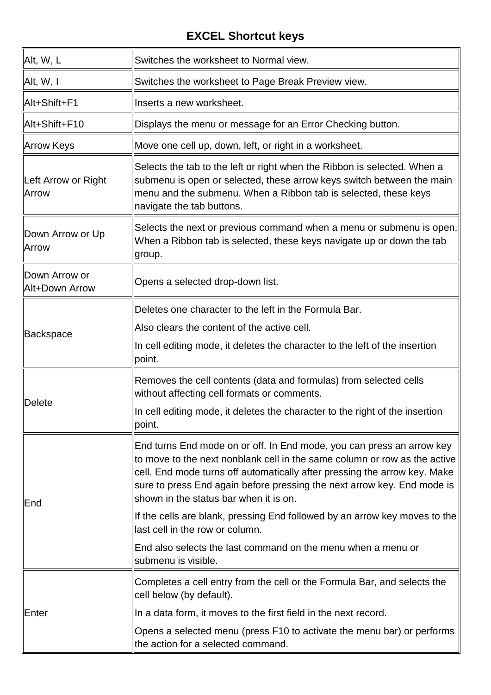| Alt, W, L                           | Switches the worksheet to Normal view.                                                                                                                                                                                                                                                                                                               |
|-------------------------------------|------------------------------------------------------------------------------------------------------------------------------------------------------------------------------------------------------------------------------------------------------------------------------------------------------------------------------------------------------|
| $\parallel$ Alt, W, I               | Switches the worksheet to Page Break Preview view.                                                                                                                                                                                                                                                                                                   |
| ∥Alt+Shift+F1                       | Inserts a new worksheet.                                                                                                                                                                                                                                                                                                                             |
| ∥Alt+Shift+F10                      | Displays the menu or message for an Error Checking button.                                                                                                                                                                                                                                                                                           |
| Arrow Keys                          | Move one cell up, down, left, or right in a worksheet.                                                                                                                                                                                                                                                                                               |
| Left Arrow or Right<br><b>Arrow</b> | Selects the tab to the left or right when the Ribbon is selected. When a<br>submenu is open or selected, these arrow keys switch between the main<br>menu and the submenu. When a Ribbon tab is selected, these keys<br>navigate the tab buttons.                                                                                                    |
| Down Arrow or Up<br><b>Arrow</b>    | Selects the next or previous command when a menu or submenu is open.<br>When a Ribbon tab is selected, these keys navigate up or down the tab<br>group.                                                                                                                                                                                              |
| Down Arrow or<br>Alt+Down Arrow     | Opens a selected drop-down list.                                                                                                                                                                                                                                                                                                                     |
|                                     | Deletes one character to the left in the Formula Bar.                                                                                                                                                                                                                                                                                                |
| Backspace                           | Also clears the content of the active cell.                                                                                                                                                                                                                                                                                                          |
|                                     | In cell editing mode, it deletes the character to the left of the insertion<br>point.                                                                                                                                                                                                                                                                |
|                                     | Removes the cell contents (data and formulas) from selected cells<br>without affecting cell formats or comments.                                                                                                                                                                                                                                     |
| Delete                              | In cell editing mode, it deletes the character to the right of the insertion<br>point.                                                                                                                                                                                                                                                               |
| <b>End</b>                          | End turns End mode on or off. In End mode, you can press an arrow key<br>to move to the next nonblank cell in the same column or row as the active<br>cell. End mode turns off automatically after pressing the arrow key. Make<br>sure to press End again before pressing the next arrow key. End mode is<br>shown in the status bar when it is on. |
|                                     | If the cells are blank, pressing End followed by an arrow key moves to the<br>llast cell in the row or column.                                                                                                                                                                                                                                       |
|                                     | End also selects the last command on the menu when a menu or<br>submenu is visible.                                                                                                                                                                                                                                                                  |
|                                     | Completes a cell entry from the cell or the Formula Bar, and selects the<br>cell below (by default).                                                                                                                                                                                                                                                 |
| <b>Enter</b>                        | In a data form, it moves to the first field in the next record.                                                                                                                                                                                                                                                                                      |
|                                     | Opens a selected menu (press F10 to activate the menu bar) or performs<br>the action for a selected command.                                                                                                                                                                                                                                         |